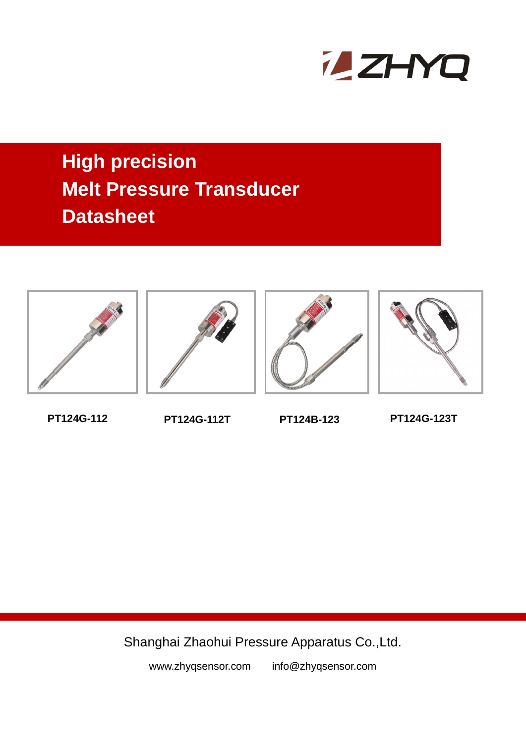

# **High precision Melt Pressure Transducer Datasheet**









**PT124G-112 PT124G-112T PT124B-123 PT124G-123T**

Shanghai Zhaohui Pressure Apparatus Co.,Ltd.

www.zhyqsensor.com info@zhyqsensor.com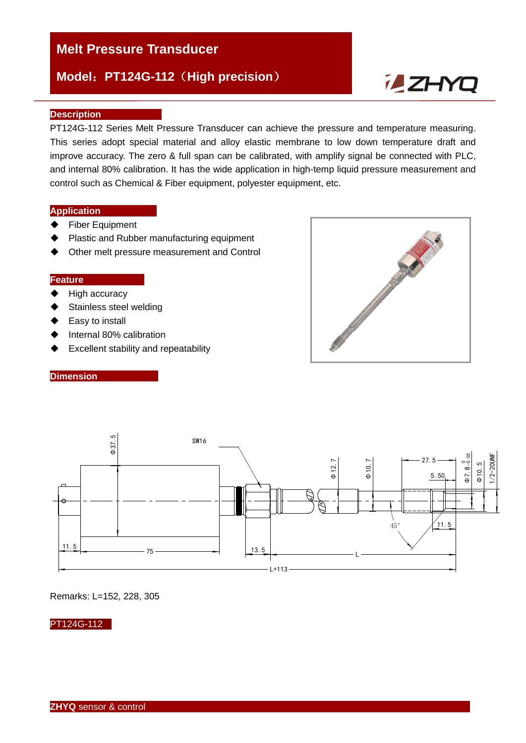# **Model**:**PT124G-112**(**High precision**)



### **Description**

PT124G-112 Series Melt Pressure Transducer can achieve the pressure and temperature measuring. This series adopt special material and alloy elastic membrane to low down temperature draft and improve accuracy. The zero & full span can be calibrated, with amplify signal be connected with PLC, and internal 80% calibration. It has the wide application in high-temp liquid pressure measurement and control such as Chemical & Fiber equipment, polyester equipment, etc.

## **Application**

- **←** Fiber Equipment
- ♦ Plastic and Rubber manufacturing equipment
- ◆ Other melt pressure measurement and Control

#### **Feature**

- $\blacklozenge$  High accuracy
- ◆ Stainless steel welding
- ◆ Easy to install
- ♦ Internal 80% calibration
- ◆ Excellent stability and repeatability







Remarks: L=152, 228, 305

#### PT124G-112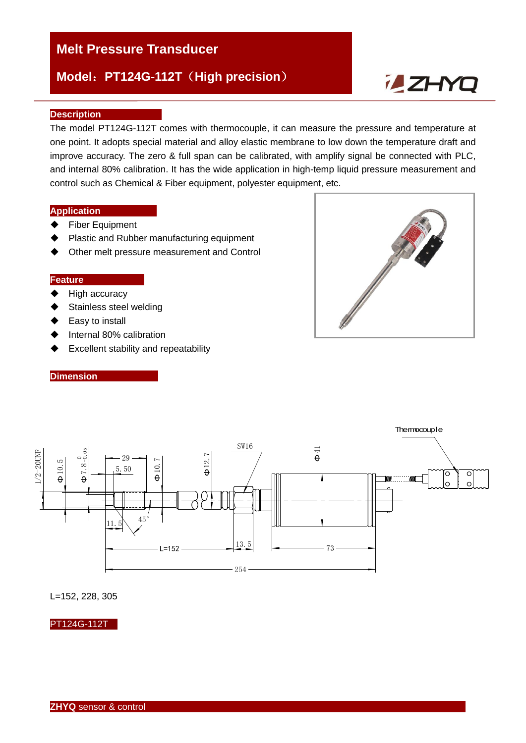# **Model**:**PT124G-112T**(**High precision**)



#### **Description**

The model PT124G-112T comes with thermocouple, it can measure the pressure and temperature at one point. It adopts special material and alloy elastic membrane to low down the temperature draft and improve accuracy. The zero & full span can be calibrated, with amplify signal be connected with PLC, and internal 80% calibration. It has the wide application in high-temp liquid pressure measurement and control such as Chemical & Fiber equipment, polyester equipment, etc.

## **Application**

- Fiber Equipment
- ♦ Plastic and Rubber manufacturing equipment
- ◆ Other melt pressure measurement and Control

#### **Feature**

- $\blacklozenge$  High accuracy
- ◆ Stainless steel welding
- ◆ Easy to install

**Dimension** 

- ♦ Internal 80% calibration
- ◆ Excellent stability and repeatability





L=152, 228, 305

PT124G-112T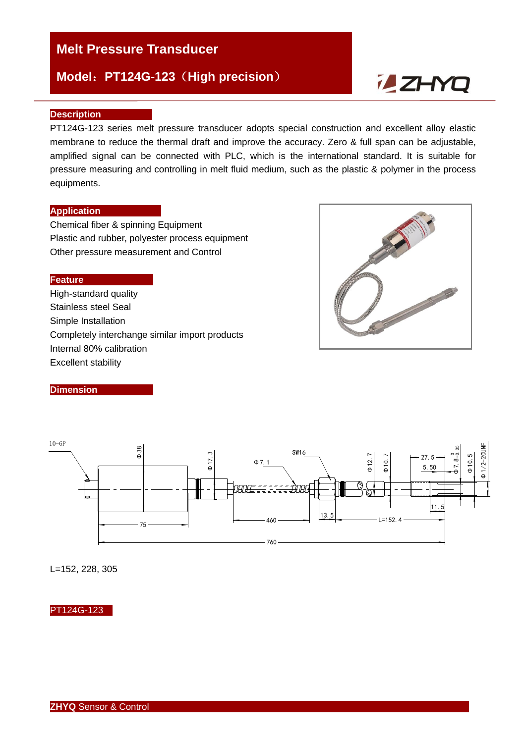# **Model**:**PT124G-123**(**High precision**)

# **ZHYQ**

#### **Description**

PT124G-123 series melt pressure transducer adopts special construction and excellent alloy elastic membrane to reduce the thermal draft and improve the accuracy. Zero & full span can be adjustable, amplified signal can be connected with PLC, which is the international standard. It is suitable for pressure measuring and controlling in melt fluid medium, such as the plastic & polymer in the process equipments.

## **Application**

Chemical fiber & spinning Equipment Plastic and rubber, polyester process equipment Other pressure measurement and Control

#### **Feature**

High-standard quality Stainless steel Seal Simple Installation Completely interchange similar import products Internal 80% calibration Excellent stability



#### **Dimension**



L=152, 228, 305

## PT124G-123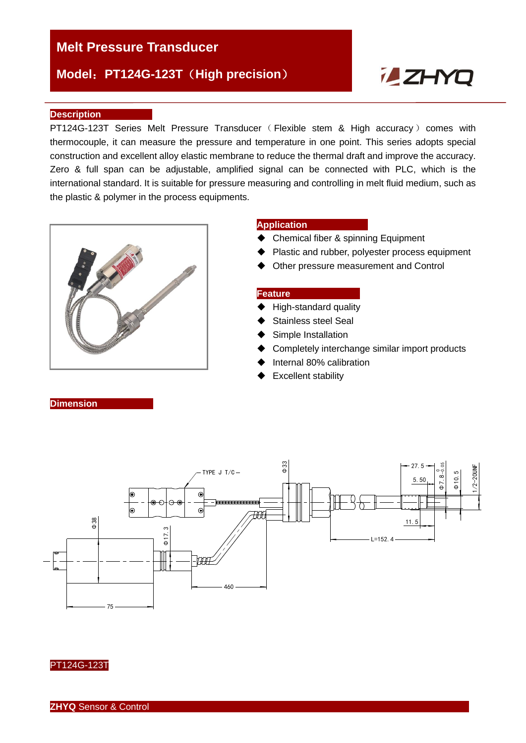# **Model**:**PT124G-123T**(**High precision**)

# **ZHYQ**

#### **Description**

PT124G-123T Series Melt Pressure Transducer ( Flexible stem & High accuracy ) comes with thermocouple, it can measure the pressure and temperature in one point. This series adopts special construction and excellent alloy elastic membrane to reduce the thermal draft and improve the accuracy. Zero & full span can be adjustable, amplified signal can be connected with PLC, which is the international standard. It is suitable for pressure measuring and controlling in melt fluid medium, such as the plastic & polymer in the process equipments.



#### **Application**

- ◆ Chemical fiber & spinning Equipment
- ◆ Plastic and rubber, polyester process equipment
- ◆ Other pressure measurement and Control

#### **Feature**

- High-standard quality
- Stainless steel Seal
- Simple Installation
- **►** Completely interchange similar import products
- Internal 80% calibration
- **Excellent stability**

Φ3327.5  $\frac{\Phi}{2}$ . 8 -0.05 TYPE  $J$  T/C  $/2-20$ UN 5.50 Φ10.5  $\subset$  $\subset$  $\frac{88}{9}$ 11.5  $rac{3}{4}$ L=152.4  $\mathbb T$ -1777 460

#### PT124G-123T

**Dimension** 

75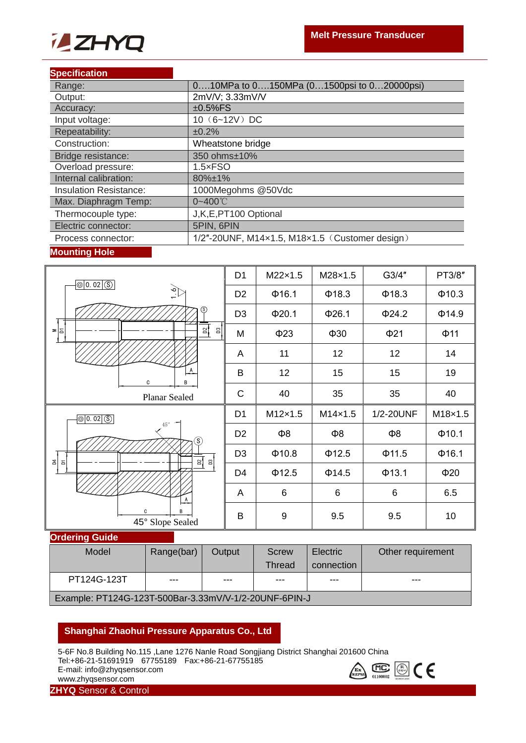

#### **Specification**

| Range:                        | 010MPa to 0150MPa (01500psi to 020000psi)      |
|-------------------------------|------------------------------------------------|
| Output:                       | 2mV/V; 3.33mV/V                                |
| Accuracy:                     | $±0.5\%FS$                                     |
| Input voltage:                | 10 (6~12V) DC                                  |
| Repeatability:                | ±0.2%                                          |
| Construction:                 | Wheatstone bridge                              |
| Bridge resistance:            | 350 ohms±10%                                   |
| Overload pressure:            | $1.5 \times FSO$                               |
| Internal calibration:         | 80%±1%                                         |
| <b>Insulation Resistance:</b> | 1000Megohms @50Vdc                             |
| Max. Diaphragm Temp:          | $0 - 400^{\circ}$                              |
| Thermocouple type:            | J,K,E,PT100 Optional                           |
| Electric connector:           | 5PIN, 6PIN                                     |
| Process connector:            | 1/2"-20UNF, M14x1.5, M18x1.5 (Customer design) |

## **Mounting Hole**

| $\boxed{\circledcirc}$ 0. 02 $\boxed{\circledS}$               | D <sub>1</sub> | M22×1.5          | M28×1.5     | G3/4"       | PT3/8"      |
|----------------------------------------------------------------|----------------|------------------|-------------|-------------|-------------|
| $\bigoplus_{i=1}^{\infty}$                                     | D <sub>2</sub> | Φ16.1            | $\Phi$ 18.3 | $\Phi$ 18.3 | $\Phi$ 10.3 |
| $\circledS$                                                    | D <sub>3</sub> | Φ20.1            | Φ26.1       | $\Phi$ 24.2 | $\Phi$ 14.9 |
| $\mathbb{Z}$<br>۲Ξ<br>$\frac{2}{3}$<br>Ξ                       | M              | $\Phi$ 23        | $\Phi$ 30   | $\Phi$ 21   | $\Phi$ 11   |
|                                                                | A              | 11               | 12          | 12          | 14          |
| $\overline{A}$<br>B<br>C                                       | B              | 12               | 15          | 15          | 19          |
| Planar Sealed                                                  | $\mathsf C$    | 40               | 35          | 35          | 40          |
|                                                                |                |                  |             |             |             |
| $\circ$ 0.02 $\circ$                                           | D <sub>1</sub> | M12×1.5          | M14×1.5     | 1/2-20UNF   | M18×1.5     |
| $45^\circ$ $\Box$                                              | D <sub>2</sub> | $\Phi$ 8         | $\Phi$ 8    | $\Phi$ 8    | Φ10.1       |
| (S)                                                            | D <sub>3</sub> | $\Phi$ 10.8      | Φ12.5       | Φ11.5       | Φ16.1       |
| $\frac{1}{4}$<br><u>ន</u>   ឌ]<br>$\overleftarrow{\text{o}}$   | D <sub>4</sub> | Φ12.5            | $\Phi$ 14.5 | Φ13.1       | $\Phi$ 20   |
|                                                                | A              | $6\phantom{1}6$  | $\,6\,$     | $\,6$       | 6.5         |
| $\stackrel{A}{\longrightarrow}$<br>C.<br>B<br>45° Slope Sealed | $\sf B$        | $\boldsymbol{9}$ | 9.5         | 9.5         | 10          |

#### **Ordering Guide**

| Model                                                 | Range(bar) | Output | Screw  | Electric   | Other requirement |
|-------------------------------------------------------|------------|--------|--------|------------|-------------------|
|                                                       |            |        | Thread | connection |                   |
| PT124G-123T                                           | ---        | $---$  | $---$  | $- - -$    | $- - -$           |
| Example: PT124G-123T-500Bar-3.33mV/V-1/2-20UNF-6PIN-J |            |        |        |            |                   |

## **Shanghai Zhaohui Pressure Apparatus Co., Ltd**

5-6F No.8 Building No.115 ,Lane 1276 Nanle Road Songjiang District Shanghai 201600 China Tel:+86-21-51691919 67755189 Fax:+86-21-67755185 E-mail: info@zhyqsensor.com www.zhyqsensor.com



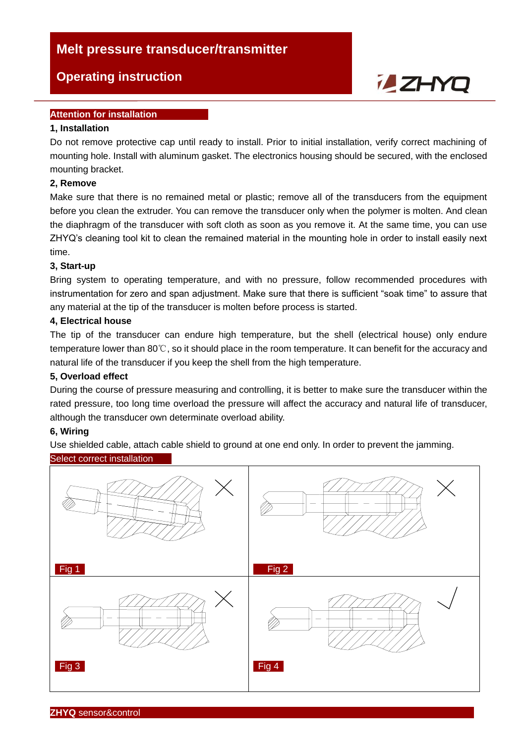# **Melt pressure transducer/transmitter**

# **Operating instruction**

# **Attention for installation**

## **1, Installation**

Do not remove protective cap until ready to install. Prior to initial installation, verify correct machining of mounting hole. Install with aluminum gasket. The electronics housing should be secured, with the enclosed mounting bracket.

**ZHYQ** 

## **2, Remove**

Make sure that there is no remained metal or plastic; remove all of the transducers from the equipment before you clean the extruder. You can remove the transducer only when the polymer is molten. And clean the diaphragm of the transducer with soft cloth as soon as you remove it. At the same time, you can use ZHYQ's cleaning tool kit to clean the remained material in the mounting hole in order to install easily next time.

## **3, Start-up**

Bring system to operating temperature, and with no pressure, follow recommended procedures with instrumentation for zero and span adjustment. Make sure that there is sufficient "soak time" to assure that any material at the tip of the transducer is molten before process is started.

## **4, Electrical house**

The tip of the transducer can endure high temperature, but the shell (electrical house) only endure temperature lower than 80℃, so it should place in the room temperature. It can benefit for the accuracy and natural life of the transducer if you keep the shell from the high temperature.

## **5, Overload effect**

During the course of pressure measuring and controlling, it is better to make sure the transducer within the rated pressure, too long time overload the pressure will affect the accuracy and natural life of transducer, although the transducer own determinate overload ability.

## **6, Wiring**

Use shielded cable, attach cable shield to ground at one end only. In order to prevent the jamming.

## Select correct installation